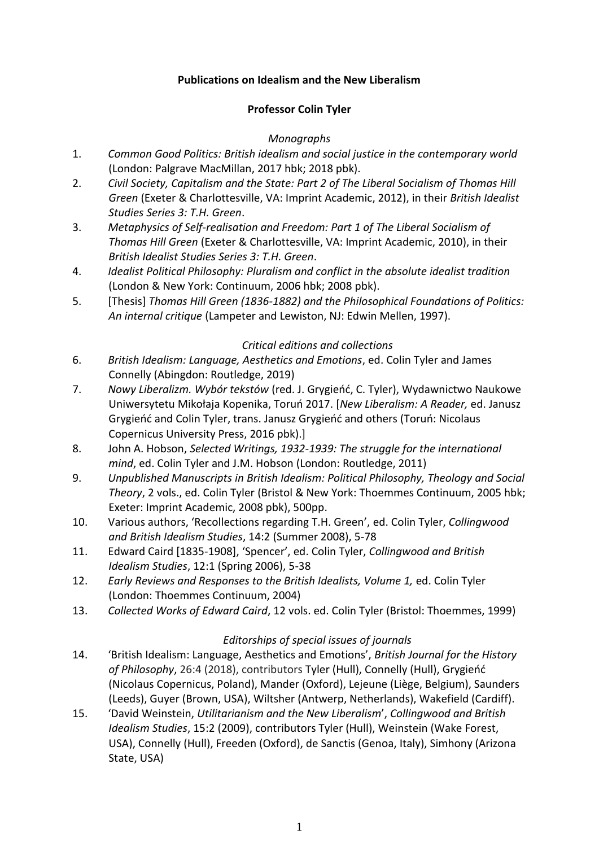## **Publications on Idealism and the New Liberalism**

## **Professor Colin Tyler**

### *Monographs*

- 1. *Common Good Politics: British idealism and social justice in the contemporary world*  (London: Palgrave MacMillan, 2017 hbk; 2018 pbk).
- 2. *Civil Society, Capitalism and the State: Part 2 of The Liberal Socialism of Thomas Hill Green* (Exeter & Charlottesville, VA: Imprint Academic, 2012), in their *British Idealist Studies Series 3: T.H. Green*.
- 3. *Metaphysics of Self-realisation and Freedom: Part 1 of The Liberal Socialism of Thomas Hill Green* (Exeter & Charlottesville, VA: Imprint Academic, 2010), in their *British Idealist Studies Series 3: T.H. Green*.
- 4. *Idealist Political Philosophy: Pluralism and conflict in the absolute idealist tradition*  (London & New York: Continuum, 2006 hbk; 2008 pbk).
- 5. [Thesis] *Thomas Hill Green (1836-1882) and the Philosophical Foundations of Politics: An internal critique* (Lampeter and Lewiston, NJ: Edwin Mellen, 1997).

## *Critical editions and collections*

- 6. *British Idealism: Language, Aesthetics and Emotions*, ed. Colin Tyler and James Connelly (Abingdon: Routledge, 2019)
- 7. *Nowy Liberalizm. Wybór tekstów* (red. J. Grygieńć, C. Tyler), Wydawnictwo Naukowe Uniwersytetu Mikołaja Kopenika, Toruń 2017. [*New Liberalism: A Reader,* ed. Janusz Grygieńć and Colin Tyler, trans. Janusz Grygieńć and others (Toruń: Nicolaus Copernicus University Press, 2016 pbk).]
- 8. John A. Hobson, *Selected Writings, 1932-1939: The struggle for the international mind*, ed. Colin Tyler and J.M. Hobson (London: Routledge, 2011)
- 9. *Unpublished Manuscripts in British Idealism: Political Philosophy, Theology and Social Theory*, 2 vols., ed. Colin Tyler (Bristol & New York: Thoemmes Continuum, 2005 hbk; Exeter: Imprint Academic, 2008 pbk), 500pp.
- 10. Various authors, 'Recollections regarding T.H. Green', ed. Colin Tyler, *Collingwood and British Idealism Studies*, 14:2 (Summer 2008), 5-78
- 11. Edward Caird [1835-1908], 'Spencer', ed. Colin Tyler, *Collingwood and British Idealism Studies*, 12:1 (Spring 2006), 5-38
- 12. *Early Reviews and Responses to the British Idealists, Volume 1,* ed. Colin Tyler (London: Thoemmes Continuum, 2004)
- 13. *Collected Works of Edward Caird*, 12 vols. ed. Colin Tyler (Bristol: Thoemmes, 1999)

# *Editorships of special issues of journals*

- 14. 'British Idealism: Language, Aesthetics and Emotions', *British Journal for the History of Philosophy*, 26:4 (2018), contributors Tyler (Hull), Connelly (Hull), Grygieńć (Nicolaus Copernicus, Poland), Mander (Oxford), Lejeune (Liège, Belgium), Saunders (Leeds), Guyer (Brown, USA), Wiltsher (Antwerp, Netherlands), Wakefield (Cardiff).
- 15. 'David Weinstein, *Utilitarianism and the New Liberalism*', *Collingwood and British Idealism Studies*, 15:2 (2009), contributors Tyler (Hull), Weinstein (Wake Forest, USA), Connelly (Hull), Freeden (Oxford), de Sanctis (Genoa, Italy), Simhony (Arizona State, USA)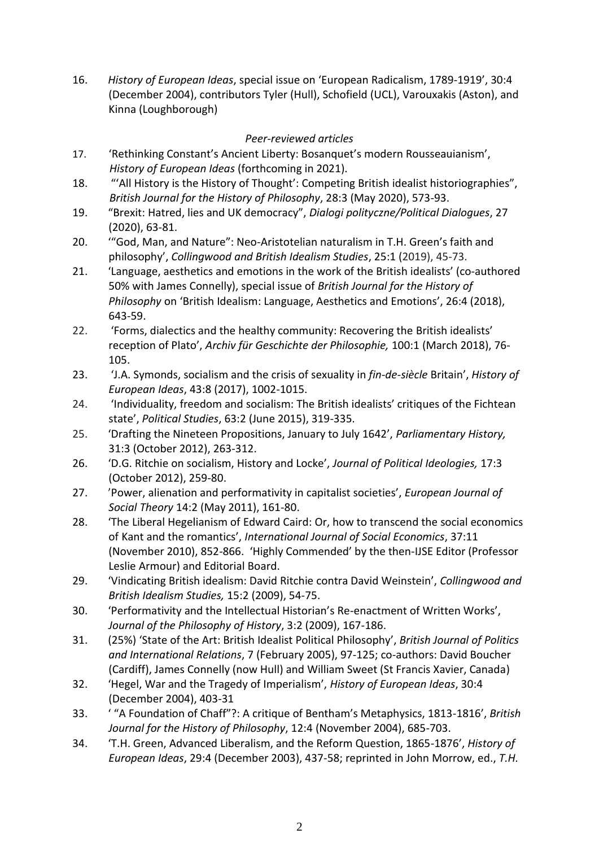16. *History of European Ideas*, special issue on 'European Radicalism, 1789-1919', 30:4 (December 2004), contributors Tyler (Hull), Schofield (UCL), Varouxakis (Aston), and Kinna (Loughborough)

## *Peer-reviewed articles*

- 17. 'Rethinking Constant's Ancient Liberty: Bosanquet's modern Rousseauianism', *History of European Ideas* (forthcoming in 2021).
- 18. "'All History is the History of Thought': Competing British idealist historiographies", *British Journal for the History of Philosophy*, 28:3 (May 2020), 573-93.
- 19. "Brexit: Hatred, lies and UK democracy", *Dialogi polityczne/Political Dialogues*, 27 (2020), 63-81.
- 20. '"God, Man, and Nature": Neo-Aristotelian naturalism in T.H. Green's faith and philosophy', *Collingwood and British Idealism Studies*, 25:1 (2019), 45-73.
- 21. 'Language, aesthetics and emotions in the work of the British idealists' (co-authored 50% with James Connelly), special issue of *British Journal for the History of Philosophy* on 'British Idealism: Language, Aesthetics and Emotions', 26:4 (2018), 643-59.
- 22. 'Forms, dialectics and the healthy community: Recovering the British idealists' reception of Plato', *Archiv für Geschichte der Philosophie,* 100:1 (March 2018), 76- 105.
- 23. 'J.A. Symonds, socialism and the crisis of sexuality in *fin-de-siècle* Britain', *History of European Ideas*, 43:8 (2017), 1002-1015.
- 24. 'Individuality, freedom and socialism: The British idealists' critiques of the Fichtean state', *Political Studies*, 63:2 (June 2015), 319-335.
- 25. 'Drafting the Nineteen Propositions, January to July 1642', *Parliamentary History,* 31:3 (October 2012), 263-312.
- 26. 'D.G. Ritchie on socialism, History and Locke', *Journal of Political Ideologies,* 17:3 (October 2012), 259-80.
- 27. 'Power, alienation and performativity in capitalist societies', *European Journal of Social Theory* 14:2 (May 2011), 161-80.
- 28. 'The Liberal Hegelianism of Edward Caird: Or, how to transcend the social economics of Kant and the romantics', *International Journal of Social Economics*, 37:11 (November 2010), 852-866.'Highly Commended' by the then-IJSE Editor (Professor Leslie Armour) and Editorial Board.
- 29. 'Vindicating British idealism: David Ritchie contra David Weinstein', *Collingwood and British Idealism Studies,* 15:2 (2009), 54-75.
- 30. 'Performativity and the Intellectual Historian's Re-enactment of Written Works', *Journal of the Philosophy of History*, 3:2 (2009), 167-186.
- 31. (25%) 'State of the Art: British Idealist Political Philosophy', *British Journal of Politics and International Relations*, 7 (February 2005), 97-125; co-authors: David Boucher (Cardiff), James Connelly (now Hull) and William Sweet (St Francis Xavier, Canada)
- 32. 'Hegel, War and the Tragedy of Imperialism', *History of European Ideas*, 30:4 (December 2004), 403-31
- 33. ' "A Foundation of Chaff"?: A critique of Bentham's Metaphysics, 1813-1816', *British Journal for the History of Philosophy*, 12:4 (November 2004), 685-703.
- 34. 'T.H. Green, Advanced Liberalism, and the Reform Question, 1865-1876', *History of European Ideas*, 29:4 (December 2003), 437-58; reprinted in John Morrow, ed., *T.H.*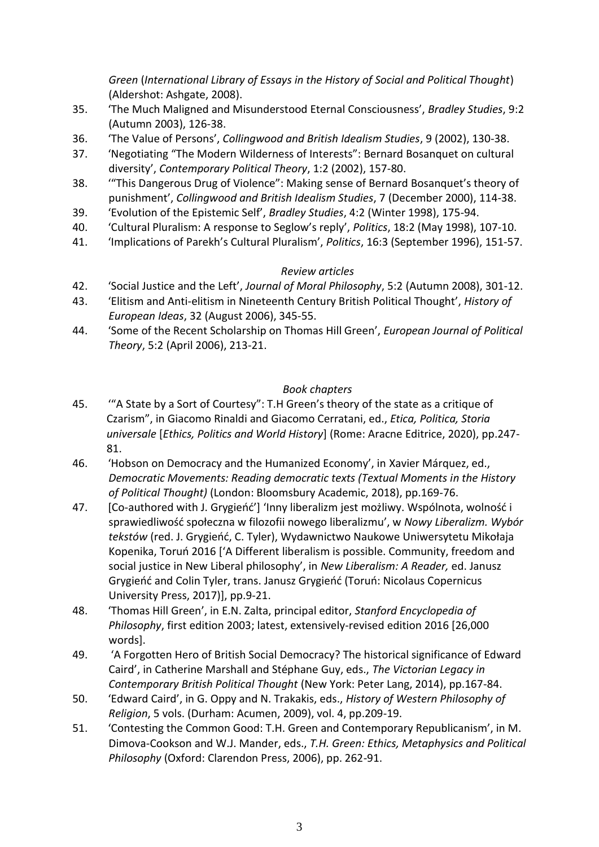*Green* (*International Library of Essays in the History of Social and Political Thought*) (Aldershot: Ashgate, 2008).

- 35. 'The Much Maligned and Misunderstood Eternal Consciousness', *Bradley Studies*, 9:2 (Autumn 2003), 126-38.
- 36. 'The Value of Persons', *Collingwood and British Idealism Studies*, 9 (2002), 130-38.
- 37. 'Negotiating "The Modern Wilderness of Interests": Bernard Bosanquet on cultural diversity', *Contemporary Political Theory*, 1:2 (2002), 157-80.
- 38. '"This Dangerous Drug of Violence": Making sense of Bernard Bosanquet's theory of punishment', *Collingwood and British Idealism Studies*, 7 (December 2000), 114-38.
- 39. 'Evolution of the Epistemic Self', *Bradley Studies*, 4:2 (Winter 1998), 175-94.
- 40. 'Cultural Pluralism: A response to Seglow's reply', *Politics*, 18:2 (May 1998), 107-10.
- 41. 'Implications of Parekh's Cultural Pluralism', *Politics*, 16:3 (September 1996), 151-57.

# *Review articles*

- 42. 'Social Justice and the Left', *Journal of Moral Philosophy*, 5:2 (Autumn 2008), 301-12.
- 43. 'Elitism and Anti-elitism in Nineteenth Century British Political Thought', *History of European Ideas*, 32 (August 2006), 345-55.
- 44. 'Some of the Recent Scholarship on Thomas Hill Green', *European Journal of Political Theory*, 5:2 (April 2006), 213-21.

# *Book chapters*

- 45. '"A State by a Sort of Courtesy": T.H Green's theory of the state as a critique of Czarism", in Giacomo Rinaldi and Giacomo Cerratani, ed., *Etica, Politica, Storia universale* [*Ethics, Politics and World History*] (Rome: Aracne Editrice, 2020), pp.247- 81.
- 46. 'Hobson on Democracy and the Humanized Economy', in Xavier Márquez, ed., *Democratic Movements: Reading democratic texts (Textual Moments in the History of Political Thought)* (London: Bloomsbury Academic, 2018), pp.169-76.
- 47. [Co-authored with J. Grygieńć'] 'Inny liberalizm jest możliwy. Wspólnota, wolność i sprawiedliwość społeczna w filozofii nowego liberalizmu', w *Nowy Liberalizm. Wybór tekstów* (red. J. Grygieńć, C. Tyler), Wydawnictwo Naukowe Uniwersytetu Mikołaja Kopenika, Toruń 2016 ['A Different liberalism is possible. Community, freedom and social justice in New Liberal philosophy', in *New Liberalism: A Reader,* ed. Janusz Grygieńć and Colin Tyler, trans. Janusz Grygieńć (Toruń: Nicolaus Copernicus University Press, 2017)], pp.9-21.
- 48. 'Thomas Hill Green', in E.N. Zalta, principal editor, *Stanford Encyclopedia of Philosophy*, first edition 2003; latest, extensively-revised edition 2016 [26,000 words].
- 49. 'A Forgotten Hero of British Social Democracy? The historical significance of Edward Caird', in Catherine Marshall and Stéphane Guy, eds., *The Victorian Legacy in Contemporary British Political Thought* (New York: Peter Lang, 2014), pp.167-84.
- 50. 'Edward Caird', in G. Oppy and N. Trakakis, eds., *History of Western Philosophy of Religion*, 5 vols. (Durham: Acumen, 2009), vol. 4, pp.209-19.
- 51. 'Contesting the Common Good: T.H. Green and Contemporary Republicanism', in M. Dimova-Cookson and W.J. Mander, eds., *T.H. Green: Ethics, Metaphysics and Political Philosophy* (Oxford: Clarendon Press, 2006), pp. 262-91.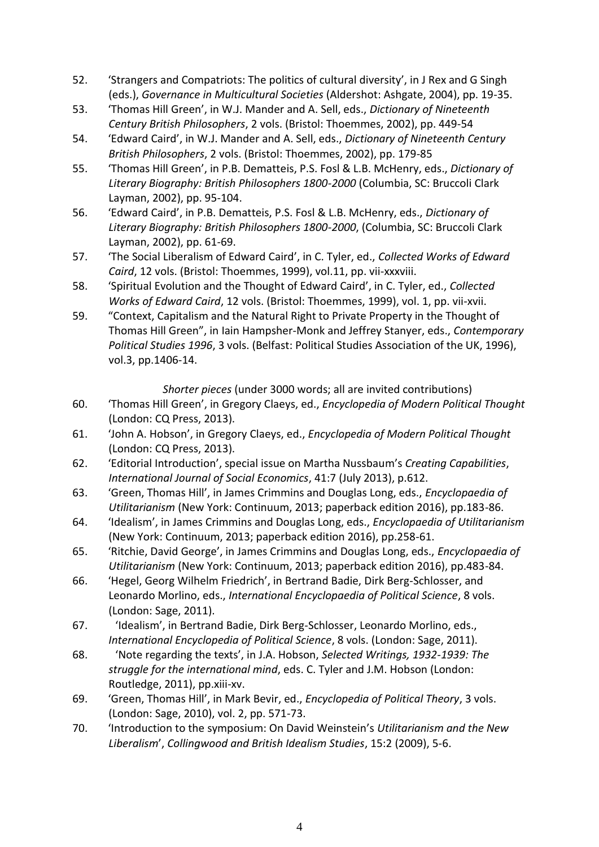- 52. 'Strangers and Compatriots: The politics of cultural diversity', in J Rex and G Singh (eds.), *Governance in Multicultural Societies* (Aldershot: Ashgate, 2004), pp. 19-35.
- 53. 'Thomas Hill Green', in W.J. Mander and A. Sell, eds., *Dictionary of Nineteenth Century British Philosophers*, 2 vols. (Bristol: Thoemmes, 2002), pp. 449-54
- 54. 'Edward Caird', in W.J. Mander and A. Sell, eds., *Dictionary of Nineteenth Century British Philosophers*, 2 vols. (Bristol: Thoemmes, 2002), pp. 179-85
- 55. 'Thomas Hill Green', in P.B. Dematteis, P.S. Fosl & L.B. McHenry, eds., *Dictionary of Literary Biography: British Philosophers 1800-2000* (Columbia, SC: Bruccoli Clark Layman, 2002), pp. 95-104.
- 56. 'Edward Caird', in P.B. Dematteis, P.S. Fosl & L.B. McHenry, eds., *Dictionary of Literary Biography: British Philosophers 1800-2000*, (Columbia, SC: Bruccoli Clark Layman, 2002), pp. 61-69.
- 57. 'The Social Liberalism of Edward Caird', in C. Tyler, ed., *Collected Works of Edward Caird*, 12 vols. (Bristol: Thoemmes, 1999), vol.11, pp. vii-xxxviii.
- 58. 'Spiritual Evolution and the Thought of Edward Caird', in C. Tyler, ed., *Collected Works of Edward Caird*, 12 vols. (Bristol: Thoemmes, 1999), vol. 1, pp. vii-xvii.
- 59. "Context, Capitalism and the Natural Right to Private Property in the Thought of Thomas Hill Green", in Iain Hampsher-Monk and Jeffrey Stanyer, eds., *Contemporary Political Studies 1996*, 3 vols. (Belfast: Political Studies Association of the UK, 1996), vol.3, pp.1406-14.

## *Shorter pieces* (under 3000 words; all are invited contributions)

- 60. 'Thomas Hill Green', in Gregory Claeys, ed., *Encyclopedia of Modern Political Thought* (London: CQ Press, 2013).
- 61. 'John A. Hobson', in Gregory Claeys, ed., *Encyclopedia of Modern Political Thought* (London: CQ Press, 2013).
- 62. 'Editorial Introduction', special issue on Martha Nussbaum's *Creating Capabilities*, *International Journal of Social Economics*, 41:7 (July 2013), p.612.
- 63. 'Green, Thomas Hill', in James Crimmins and Douglas Long, eds., *Encyclopaedia of Utilitarianism* (New York: Continuum, 2013; paperback edition 2016), pp.183-86.
- 64. 'Idealism', in James Crimmins and Douglas Long, eds., *Encyclopaedia of Utilitarianism* (New York: Continuum, 2013; paperback edition 2016), pp.258-61.
- 65. 'Ritchie, David George', in James Crimmins and Douglas Long, eds., *Encyclopaedia of Utilitarianism* (New York: Continuum, 2013; paperback edition 2016), pp.483-84.
- 66. 'Hegel, Georg Wilhelm Friedrich', in Bertrand Badie, Dirk Berg-Schlosser, and Leonardo Morlino, eds., *International Encyclopaedia of Political Science*, 8 vols. (London: Sage, 2011).
- 67. 'Idealism', in Bertrand Badie, Dirk Berg-Schlosser, Leonardo Morlino, eds., *International Encyclopedia of Political Science*, 8 vols. (London: Sage, 2011).
- 68. 'Note regarding the texts', in J.A. Hobson, *Selected Writings, 1932-1939: The struggle for the international mind*, eds. C. Tyler and J.M. Hobson (London: Routledge, 2011), pp.xiii-xv.
- 69. 'Green, Thomas Hill', in Mark Bevir, ed., *Encyclopedia of Political Theory*, 3 vols. (London: Sage, 2010), vol. 2, pp. 571-73.
- 70. 'Introduction to the symposium: On David Weinstein's *Utilitarianism and the New Liberalism*', *Collingwood and British Idealism Studies*, 15:2 (2009), 5-6.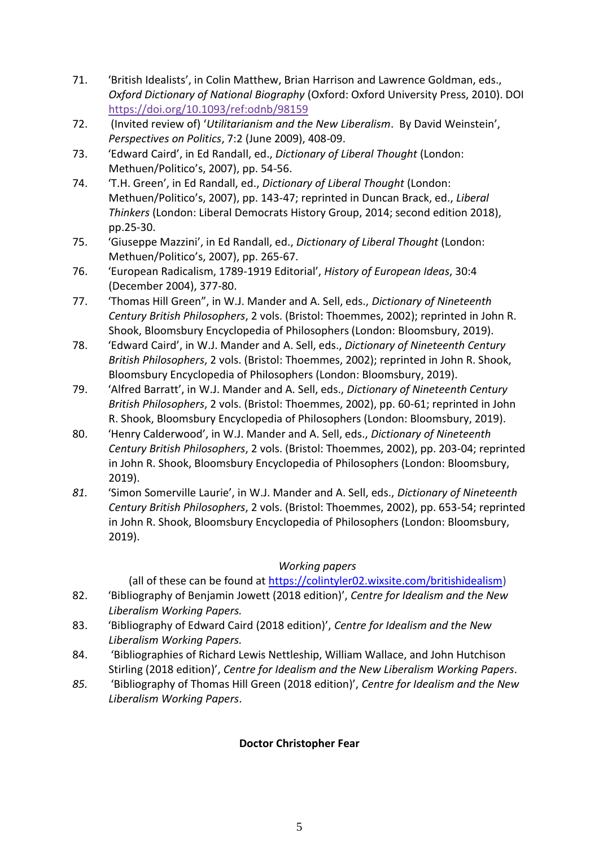- 71. 'British Idealists', in Colin Matthew, Brian Harrison and Lawrence Goldman, eds., *Oxford Dictionary of National Biography* (Oxford: Oxford University Press, 2010). DOI <https://doi.org/10.1093/ref:odnb/98159>
- 72. (Invited review of) '*Utilitarianism and the New Liberalism*. By David Weinstein', *Perspectives on Politics*, 7:2 (June 2009), 408-09.
- 73. 'Edward Caird', in Ed Randall, ed., *Dictionary of Liberal Thought* (London: Methuen/Politico's, 2007), pp. 54-56.
- 74. 'T.H. Green', in Ed Randall, ed., *Dictionary of Liberal Thought* (London: Methuen/Politico's, 2007), pp. 143-47; reprinted in Duncan Brack, ed., *Liberal Thinkers* (London: Liberal Democrats History Group, 2014; second edition 2018), pp.25-30.
- 75. 'Giuseppe Mazzini', in Ed Randall, ed., *Dictionary of Liberal Thought* (London: Methuen/Politico's, 2007), pp. 265-67.
- 76. 'European Radicalism, 1789-1919 Editorial', *History of European Ideas*, 30:4 (December 2004), 377-80.
- 77. 'Thomas Hill Green", in W.J. Mander and A. Sell, eds., *Dictionary of Nineteenth Century British Philosophers*, 2 vols. (Bristol: Thoemmes, 2002); reprinted in John R. Shook, Bloomsbury Encyclopedia of Philosophers (London: Bloomsbury, 2019).
- 78. 'Edward Caird', in W.J. Mander and A. Sell, eds., *Dictionary of Nineteenth Century British Philosophers*, 2 vols. (Bristol: Thoemmes, 2002); reprinted in John R. Shook, Bloomsbury Encyclopedia of Philosophers (London: Bloomsbury, 2019).
- 79. 'Alfred Barratt', in W.J. Mander and A. Sell, eds., *Dictionary of Nineteenth Century British Philosophers*, 2 vols. (Bristol: Thoemmes, 2002), pp. 60-61; reprinted in John R. Shook, Bloomsbury Encyclopedia of Philosophers (London: Bloomsbury, 2019).
- 80. 'Henry Calderwood', in W.J. Mander and A. Sell, eds., *Dictionary of Nineteenth Century British Philosophers*, 2 vols. (Bristol: Thoemmes, 2002), pp. 203-04; reprinted in John R. Shook, Bloomsbury Encyclopedia of Philosophers (London: Bloomsbury, 2019).
- *81.* 'Simon Somerville Laurie', in W.J. Mander and A. Sell, eds., *Dictionary of Nineteenth Century British Philosophers*, 2 vols. (Bristol: Thoemmes, 2002), pp. 653-54; reprinted in John R. Shook, Bloomsbury Encyclopedia of Philosophers (London: Bloomsbury, 2019).

# *Working papers*

(all of these can be found at [https://colintyler02.wixsite.com/britishidealism\)](https://colintyler02.wixsite.com/britishidealism)

- 82. 'Bibliography of Benjamin Jowett (2018 edition)', *Centre for Idealism and the New Liberalism Working Papers.*
- 83. 'Bibliography of Edward Caird (2018 edition)', *Centre for Idealism and the New Liberalism Working Papers.*
- 84. 'Bibliographies of Richard Lewis Nettleship, William Wallace, and John Hutchison Stirling (2018 edition)', *Centre for Idealism and the New Liberalism Working Papers*.
- *85.* 'Bibliography of Thomas Hill Green (2018 edition)', *Centre for Idealism and the New Liberalism Working Papers*.

# **Doctor Christopher Fear**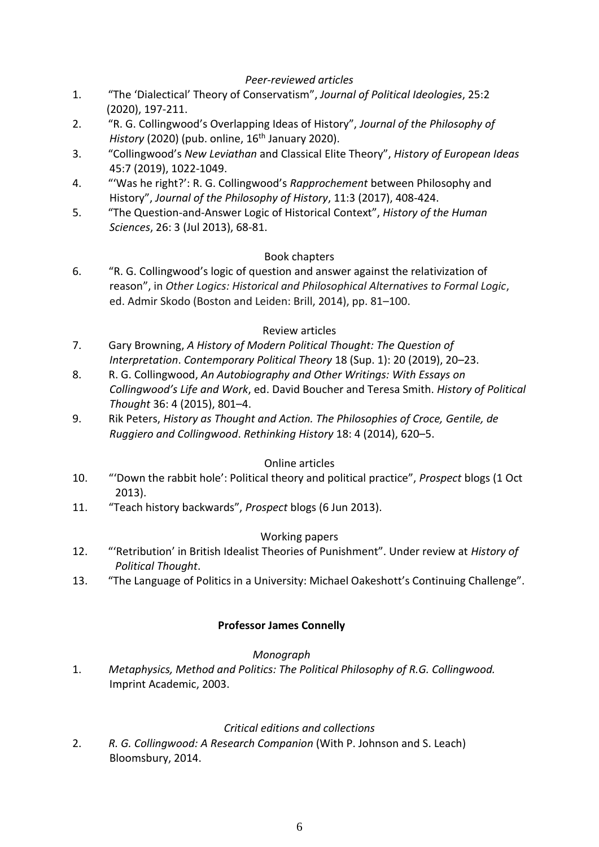### *Peer-reviewed articles*

- 1. "The 'Dialectical' Theory of Conservatism", *Journal of Political Ideologies*, 25:2 (2020), 197-211.
- 2. "R. G. Collingwood's Overlapping Ideas of History", *Journal of the Philosophy of History* (2020) (pub. online, 16<sup>th</sup> January 2020).
- 3. "Collingwood's *New Leviathan* and Classical Elite Theory", *History of European Ideas* 45:7 (2019), 1022-1049.
- 4. "'Was he right?': R. G. Collingwood's *Rapprochement* between Philosophy and History", *Journal of the Philosophy of History*, 11:3 (2017), 408-424.
- 5. "The Question-and-Answer Logic of Historical Context", *History of the Human Sciences*, 26: 3 (Jul 2013), 68-81.

### Book chapters

6. "R. G. Collingwood's logic of question and answer against the relativization of reason", in *Other Logics: Historical and Philosophical Alternatives to Formal Logic*, ed. Admir Skodo (Boston and Leiden: Brill, 2014), pp. 81–100.

### Review articles

- 7. Gary Browning, *A History of Modern Political Thought: The Question of Interpretation*. *Contemporary Political Theory* 18 (Sup. 1): 20 (2019), 20–23.
- 8. R. G. Collingwood, *An Autobiography and Other Writings: With Essays on Collingwood's Life and Work*, ed. David Boucher and Teresa Smith. *History of Political Thought* 36: 4 (2015), 801–4.
- 9. Rik Peters, *History as Thought and Action. The Philosophies of Croce, Gentile, de Ruggiero and Collingwood*. *Rethinking History* 18: 4 (2014), 620–5.

### Online articles

- 10. "'Down the rabbit hole': Political theory and political practice", *Prospect* blogs (1 Oct 2013).
- 11. "Teach history backwards", *Prospect* blogs (6 Jun 2013).

#### Working papers

- 12. "'Retribution' in British Idealist Theories of Punishment". Under review at *History of Political Thought*.
- 13. "The Language of Politics in a University: Michael Oakeshott's Continuing Challenge".

#### **Professor James Connelly**

#### *Monograph*

1. *Metaphysics, Method and Politics: The Political Philosophy of R.G. Collingwood.* Imprint Academic, 2003.

#### *Critical editions and collections*

2. *R. G. Collingwood: A Research Companion* (With P. Johnson and S. Leach) Bloomsbury, 2014.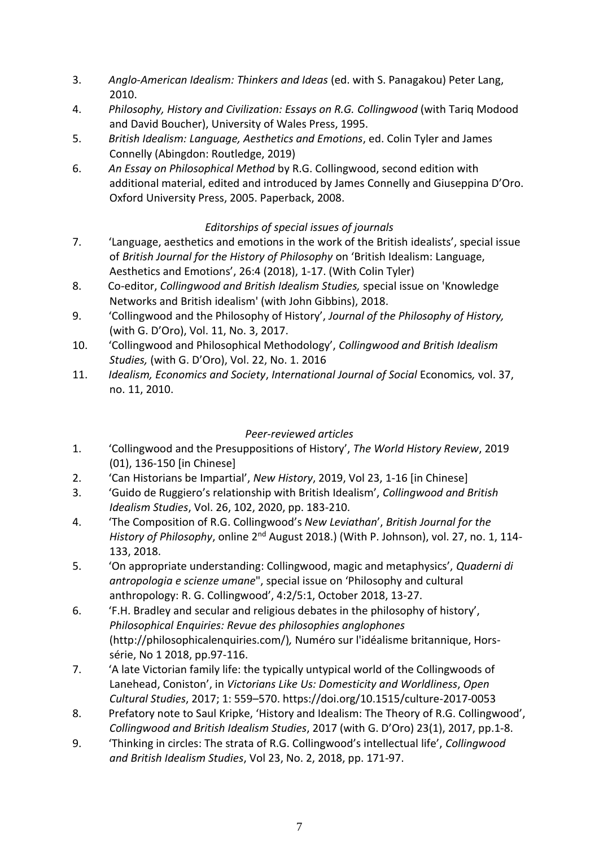- 3. *Anglo-American Idealism: Thinkers and Ideas* (ed. with S. Panagakou) Peter Lang, 2010.
- 4. *Philosophy, History and Civilization: Essays on R.G. Collingwood* (with Tariq Modood and David Boucher), University of Wales Press, 1995.
- 5. *British Idealism: Language, Aesthetics and Emotions*, ed. Colin Tyler and James Connelly (Abingdon: Routledge, 2019)
- 6. *An Essay on Philosophical Method* by R.G. Collingwood, second edition with additional material, edited and introduced by James Connelly and Giuseppina D'Oro. Oxford University Press, 2005. Paperback, 2008.

# *Editorships of special issues of journals*

- 7. 'Language, aesthetics and emotions in the work of the British idealists', special issue of *British Journal for the History of Philosophy* on 'British Idealism: Language, Aesthetics and Emotions', 26:4 (2018), 1-17. (With Colin Tyler)
- 8. Co-editor, *Collingwood and British Idealism Studies,* special issue on 'Knowledge Networks and British idealism' (with John Gibbins), 2018.
- 9. 'Collingwood and the Philosophy of History', *Journal of the Philosophy of History,* (with G. D'Oro), Vol. 11, No. 3, 2017.
- 10. 'Collingwood and Philosophical Methodology', *Collingwood and British Idealism Studies,* (with G. D'Oro), Vol. 22, No. 1. 2016
- 11. *Idealism, Economics and Society*, *International Journal of Social* Economics*,* vol. 37, no. 11, 2010.

# *Peer-reviewed articles*

- 1. 'Collingwood and the Presuppositions of History', *The World History Review*, 2019 (01), 136-150 [in Chinese]
- 2. 'Can Historians be Impartial', *New History*, 2019, Vol 23, 1-16 [in Chinese]
- 3. 'Guido de Ruggiero's relationship with British Idealism', *Collingwood and British Idealism Studies*, Vol. 26, 102, 2020, pp. 183-210.
- 4. 'The Composition of R.G. Collingwood's *New Leviathan*', *British Journal for the History of Philosophy*, online 2nd August 2018.) (With P. Johnson), vol. 27, no. 1, 114- 133, 2018.
- 5. 'On appropriate understanding: Collingwood, magic and metaphysics', *Quaderni di antropologia e scienze umane*", special issue on 'Philosophy and cultural anthropology: R. G. Collingwood', 4:2/5:1, October 2018, 13-27.
- 6. 'F.H. Bradley and secular and religious debates in the philosophy of history', *Philosophical Enquiries: Revue des philosophies anglophones* (http://philosophicalenquiries.com/)*,* Numéro sur l'idéalisme britannique, Horssérie, No 1 2018, pp.97-116.
- 7. 'A late Victorian family life: the typically untypical world of the Collingwoods of Lanehead, Coniston', in *Victorians Like Us: Domesticity and Worldliness*, *Open Cultural Studies*, 2017; 1: 559–570. https://doi.org/10.1515/culture-2017-0053
- 8. Prefatory note to Saul Kripke, 'History and Idealism: The Theory of R.G. Collingwood', *Collingwood and British Idealism Studies*, 2017 (with G. D'Oro) 23(1), 2017, pp.1-8.
- 9. 'Thinking in circles: The strata of R.G. Collingwood's intellectual life', *Collingwood and British Idealism Studies*, Vol 23, No. 2, 2018, pp. 171-97.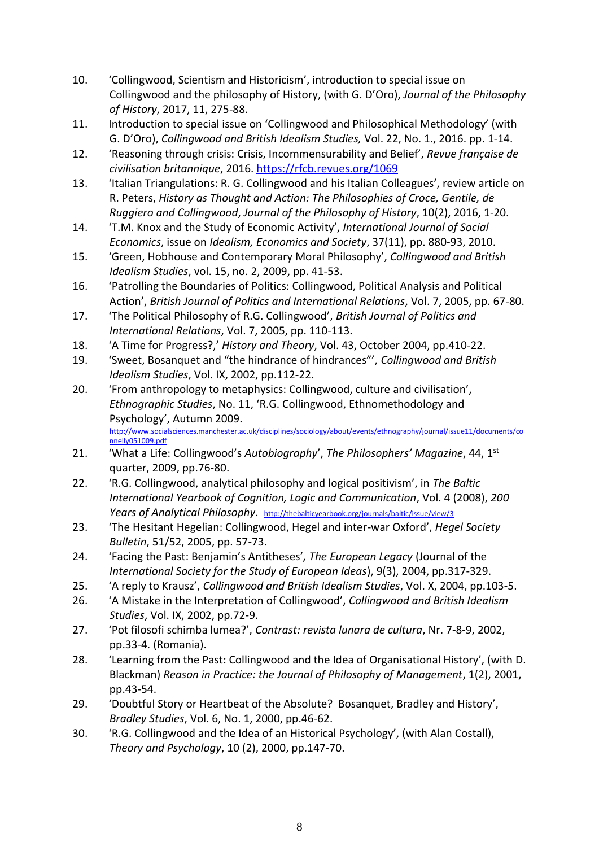- 10. 'Collingwood, Scientism and Historicism', introduction to special issue on Collingwood and the philosophy of History, (with G. D'Oro), *Journal of the Philosophy of History*, 2017, 11, 275-88.
- 11. Introduction to special issue on 'Collingwood and Philosophical Methodology' (with G. D'Oro), *Collingwood and British Idealism Studies,* Vol. 22, No. 1., 2016. pp. 1-14.
- 12. 'Reasoning through crisis: Crisis, Incommensurability and Belief', *Revue française de civilisation britannique*, 2016.<https://rfcb.revues.org/1069>
- 13. 'Italian Triangulations: R. G. Collingwood and his Italian Colleagues', review article on R. Peters, *History as Thought and Action: The Philosophies of Croce, Gentile, de Ruggiero and Collingwood*, *Journal of the Philosophy of History*, 10(2), 2016, 1-20.
- 14. 'T.M. Knox and the Study of Economic Activity', *International Journal of Social Economics*, issue on *Idealism, Economics and Society*, 37(11), pp. 880-93, 2010.
- 15. 'Green, Hobhouse and Contemporary Moral Philosophy', *Collingwood and British Idealism Studies*, vol. 15, no. 2, 2009, pp. 41-53.
- 16. 'Patrolling the Boundaries of Politics: Collingwood, Political Analysis and Political Action', *British Journal of Politics and International Relations*, Vol. 7, 2005, pp. 67-80.
- 17. 'The Political Philosophy of R.G. Collingwood', *British Journal of Politics and International Relations*, Vol. 7, 2005, pp. 110-113.
- 18. 'A Time for Progress?,' *History and Theory*, Vol. 43, October 2004, pp.410-22.
- 19. 'Sweet, Bosanquet and "the hindrance of hindrances"', *Collingwood and British Idealism Studies*, Vol. IX, 2002, pp.112-22.
- 20. 'From anthropology to metaphysics: Collingwood, culture and civilisation', *Ethnographic Studies*, No. 11, 'R.G. Collingwood, Ethnomethodology and Psychology', Autumn 2009. [http://www.socialsciences.manchester.ac.uk/disciplines/sociology/about/events/ethnography/journal/issue11/documents/co](http://www.socialsciences.manchester.ac.uk/disciplines/sociology/about/events/ethnography/journal/issue11/documents/connelly051009.pdf)

[nnelly051009.pdf](http://www.socialsciences.manchester.ac.uk/disciplines/sociology/about/events/ethnography/journal/issue11/documents/connelly051009.pdf)

- 21. 'What a Life: Collingwood's *Autobiography*', *The Philosophers' Magazine*, 44, 1st quarter, 2009, pp.76-80.
- 22. 'R.G. Collingwood, analytical philosophy and logical positivism', in *The Baltic International Yearbook of Cognition, Logic and Communication*, Vol. 4 (2008), *200 Years of Analytical Philosophy*. <http://thebalticyearbook.org/journals/baltic/issue/view/3>
- 23. 'The Hesitant Hegelian: Collingwood, Hegel and inter-war Oxford', *Hegel Society Bulletin*, 51/52, 2005, pp. 57-73.
- 24. 'Facing the Past: Benjamin's Antitheses'*, The European Legacy* (Journal of the *International Society for the Study of European Ideas*), 9(3), 2004, pp.317-329.
- 25. 'A reply to Krausz', *Collingwood and British Idealism Studies*, Vol. X, 2004, pp.103-5.
- 26. 'A Mistake in the Interpretation of Collingwood', *Collingwood and British Idealism Studies*, Vol. IX, 2002, pp.72-9.
- 27. 'Pot filosofi schimba lumea?', *Contrast: revista lunara de cultura*, Nr. 7-8-9, 2002, pp.33-4. (Romania).
- 28. 'Learning from the Past: Collingwood and the Idea of Organisational History', (with D. Blackman) *Reason in Practice: the Journal of Philosophy of Management*, 1(2), 2001, pp.43-54.
- 29. 'Doubtful Story or Heartbeat of the Absolute? Bosanquet, Bradley and History', *Bradley Studies*, Vol. 6, No. 1, 2000, pp.46-62.
- 30. 'R.G. Collingwood and the Idea of an Historical Psychology', (with Alan Costall), *Theory and Psychology*, 10 (2), 2000, pp.147-70.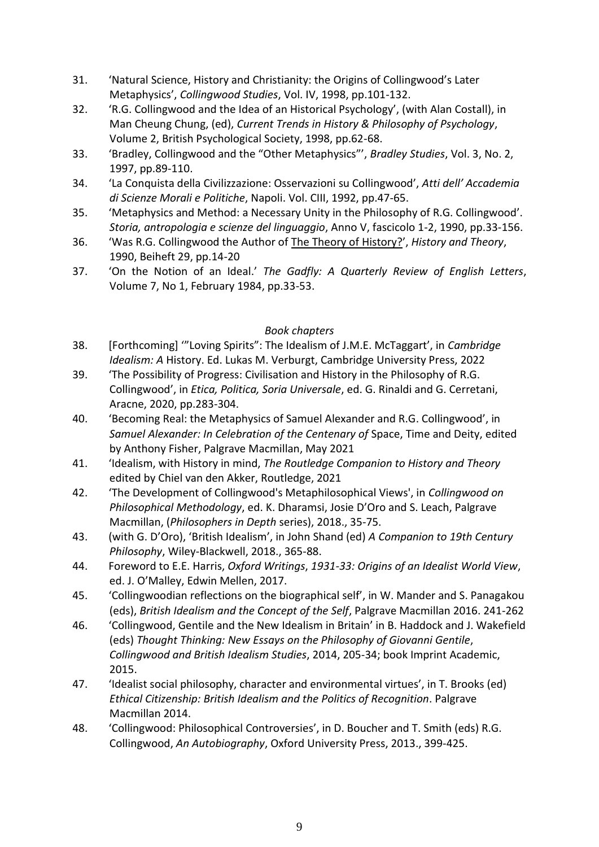- 31. 'Natural Science, History and Christianity: the Origins of Collingwood's Later Metaphysics', *Collingwood Studies*, Vol. IV, 1998, pp.101-132.
- 32. 'R.G. Collingwood and the Idea of an Historical Psychology', (with Alan Costall), in Man Cheung Chung, (ed), *Current Trends in History & Philosophy of Psychology*, Volume 2, British Psychological Society, 1998, pp.62-68.
- 33. 'Bradley, Collingwood and the "Other Metaphysics"', *Bradley Studies*, Vol. 3, No. 2, 1997, pp.89-110.
- 34. 'La Conquista della Civilizzazione: Osservazioni su Collingwood', *Atti dell' Accademia di Scienze Morali e Politiche*, Napoli. Vol. CIII, 1992, pp.47-65.
- 35. 'Metaphysics and Method: a Necessary Unity in the Philosophy of R.G. Collingwood'. *Storia, antropologia e scienze del linguaggio*, Anno V, fascicolo 1-2, 1990, pp.33-156.
- 36. 'Was R.G. Collingwood the Author of The Theory of History?', *History and Theory*, 1990, Beiheft 29, pp.14-20
- 37. 'On the Notion of an Ideal.' *The Gadfly: A Quarterly Review of English Letters*, Volume 7, No 1, February 1984, pp.33-53.

## *Book chapters*

- 38. [Forthcoming] '"Loving Spirits": The Idealism of J.M.E. McTaggart', in *Cambridge Idealism: A* History. Ed. Lukas M. Verburgt, Cambridge University Press, 2022
- 39. 'The Possibility of Progress: Civilisation and History in the Philosophy of R.G. Collingwood', in *Etica, Politica, Soria Universale*, ed. G. Rinaldi and G. Cerretani, Aracne, 2020, pp.283-304.
- 40. 'Becoming Real: the Metaphysics of Samuel Alexander and R.G. Collingwood', in *Samuel Alexander: In Celebration of the Centenary of* Space, Time and Deity, edited by Anthony Fisher, Palgrave Macmillan, May 2021
- 41. 'Idealism, with History in mind, *The Routledge Companion to History and Theory*  edited by Chiel van den Akker, Routledge, 2021
- 42. 'The Development of Collingwood's Metaphilosophical Views', in *Collingwood on Philosophical Methodology*, ed. K. Dharamsi, Josie D'Oro and S. Leach, Palgrave Macmillan, (*Philosophers in Depth* series), 2018., 35-75.
- 43. (with G. D'Oro), 'British Idealism', in John Shand (ed) *A Companion to 19th Century Philosophy*, Wiley-Blackwell, 2018., 365-88.
- 44. Foreword to E.E. Harris, *Oxford Writings*, *1931-33: Origins of an Idealist World View*, ed. J. O'Malley, Edwin Mellen, 2017.
- 45. 'Collingwoodian reflections on the biographical self', in W. Mander and S. Panagakou (eds), *British Idealism and the Concept of the Self*, Palgrave Macmillan 2016. 241-262
- 46. 'Collingwood, Gentile and the New Idealism in Britain' in B. Haddock and J. Wakefield (eds) *Thought Thinking: New Essays on the Philosophy of Giovanni Gentile*, *Collingwood and British Idealism Studies*, 2014, 205-34; book Imprint Academic, 2015.
- 47. 'Idealist social philosophy, character and environmental virtues', in T. Brooks (ed) *Ethical Citizenship: British Idealism and the Politics of Recognition*. Palgrave Macmillan 2014.
- 48. 'Collingwood: Philosophical Controversies', in D. Boucher and T. Smith (eds) R.G. Collingwood, *An Autobiography*, Oxford University Press, 2013., 399-425.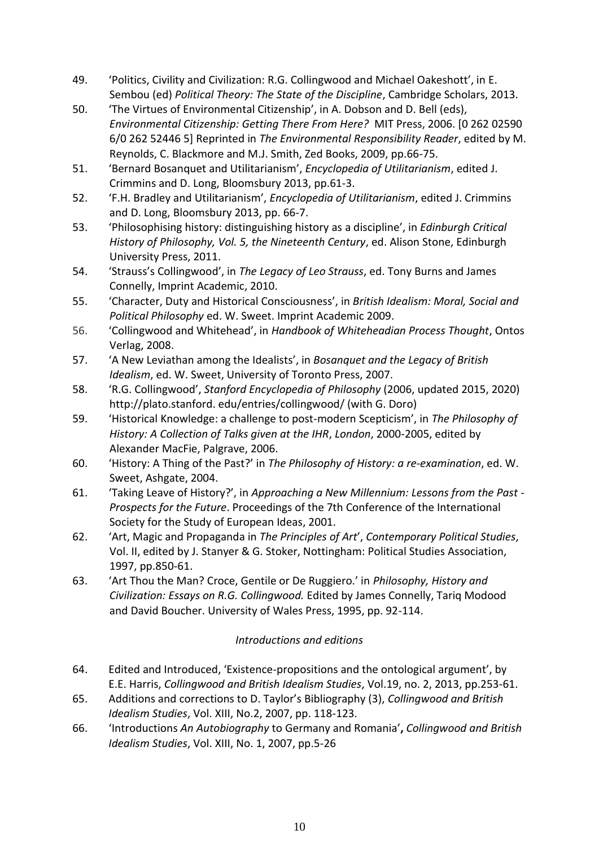- 49. 'Politics, Civility and Civilization: R.G. Collingwood and Michael Oakeshott', in E. Sembou (ed) *Political Theory: The State of the Discipline*, Cambridge Scholars, 2013.
- 50. 'The Virtues of Environmental Citizenship', in A. Dobson and D. Bell (eds), *Environmental Citizenship: Getting There From Here?* MIT Press, 2006. [0 262 02590 6/0 262 52446 5] Reprinted in *The Environmental Responsibility Reader*, edited by M. Reynolds, C. Blackmore and M.J. Smith, Zed Books, 2009, pp.66-75.
- 51. 'Bernard Bosanquet and Utilitarianism', *Encyclopedia of Utilitarianism*, edited J. Crimmins and D. Long, Bloomsbury 2013, pp.61-3.
- 52. 'F.H. Bradley and Utilitarianism', *Encyclopedia of Utilitarianism*, edited J. Crimmins and D. Long, Bloomsbury 2013, pp. 66-7.
- 53. 'Philosophising history: distinguishing history as a discipline', in *Edinburgh Critical History of Philosophy, Vol. 5, the Nineteenth Century*, ed. Alison Stone, Edinburgh University Press, 2011.
- 54. 'Strauss's Collingwood', in *The Legacy of Leo Strauss*, ed. Tony Burns and James Connelly, Imprint Academic, 2010.
- 55. 'Character, Duty and Historical Consciousness', in *British Idealism: Moral, Social and Political Philosophy* ed. W. Sweet. Imprint Academic 2009.
- 56. 'Collingwood and Whitehead', in *Handbook of Whiteheadian Process Thought*, Ontos Verlag, 2008.
- 57. 'A New Leviathan among the Idealists', in *Bosanquet and the Legacy of British Idealism*, ed. W. Sweet, University of Toronto Press, 2007.
- 58. 'R.G. Collingwood', *Stanford Encyclopedia of Philosophy* (2006, updated 2015, 2020) http://plato.stanford. edu/entries/collingwood/ (with G. Doro)
- 59. 'Historical Knowledge: a challenge to post-modern Scepticism', in *The Philosophy of History: A Collection of Talks given at the IHR*, *London*, 2000-2005, edited by Alexander MacFie, Palgrave, 2006.
- 60. 'History: A Thing of the Past?' in *The Philosophy of History: a re-examination*, ed. W. Sweet, Ashgate, 2004.
- 61. 'Taking Leave of History?', in *Approaching a New Millennium: Lessons from the Past - Prospects for the Future*. Proceedings of the 7th Conference of the International Society for the Study of European Ideas, 2001.
- 62. 'Art, Magic and Propaganda in *The Principles of Art*', *Contemporary Political Studies*, Vol. II, edited by J. Stanyer & G. Stoker, Nottingham: Political Studies Association, 1997, pp.850-61.
- 63. 'Art Thou the Man? Croce, Gentile or De Ruggiero.' in *Philosophy, History and Civilization: Essays on R.G. Collingwood.* Edited by James Connelly, Tariq Modood and David Boucher. University of Wales Press, 1995, pp. 92-114.

# *Introductions and editions*

- 64. Edited and Introduced, 'Existence-propositions and the ontological argument', by E.E. Harris, *Collingwood and British Idealism Studies*, Vol.19, no. 2, 2013, pp.253-61.
- 65. Additions and corrections to D. Taylor's Bibliography (3), *Collingwood and British Idealism Studies*, Vol. XIII, No.2, 2007, pp. 118-123.
- 66. 'Introductions *An Autobiography* to Germany and Romania'**,** *Collingwood and British Idealism Studies*, Vol. XIII, No. 1, 2007, pp.5-26